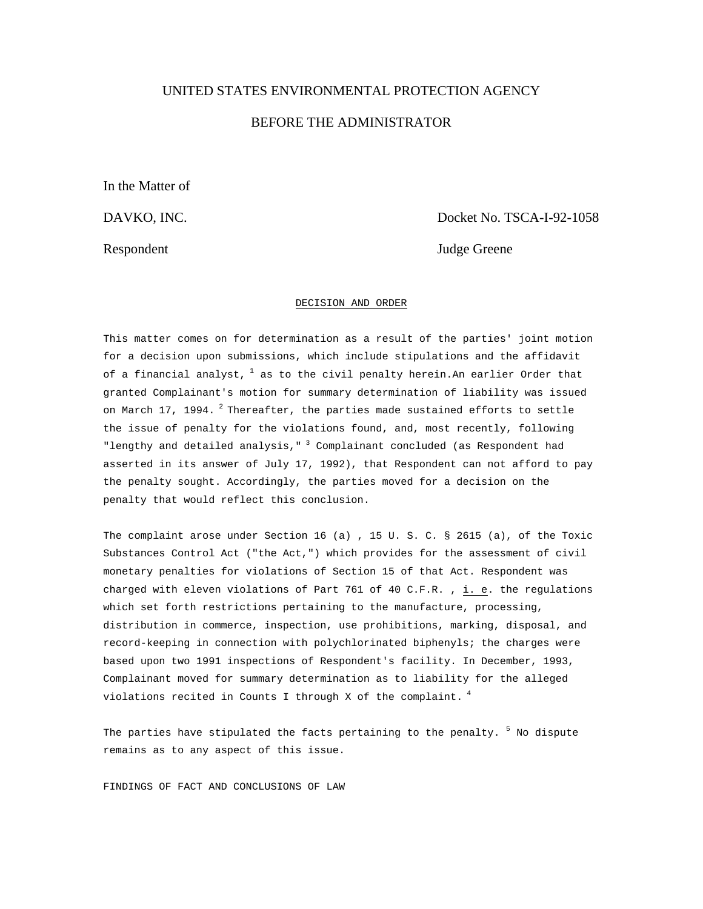# UNITED STATES ENVIRONMENTAL PROTECTION AGENCY BEFORE THE ADMINISTRATOR

In the Matter of

DAVKO, INC. Docket No. TSCA-I-92-1058

Respondent Judge Greene

# DECISION AND ORDER

This matter comes on for determination as a result of the parties' joint motion for a decision upon submissions, which include stipulations and the affidavit of a financial analyst,  $^1$  as to the civil penalty herein. An earlier Order that granted Complainant's motion for summary determination of liability was issued on March 17, 1994.  $^2$  Thereafter, the parties made sustained efforts to settle the issue of penalty for the violations found, and, most recently, following "lengthy and detailed analysis," 3 Complainant concluded (as Respondent had asserted in its answer of July 17, 1992), that Respondent can not afford to pay the penalty sought. Accordingly, the parties moved for a decision on the penalty that would reflect this conclusion.

The complaint arose under Section 16 (a) , 15 U. S. C*.* § 2615 (a), of the Toxic Substances Control Act ("the Act,") which provides for the assessment of civil monetary penalties for violations of Section 15 of that Act. Respondent was charged with eleven violations of Part 761 of 40 C.F.R. , i. e. the regulations which set forth restrictions pertaining to the manufacture, processing, distribution in commerce, inspection, use prohibitions, marking, disposal, and record-keeping in connection with polychlorinated biphenyls; the charges were based upon two 1991 inspections of Respondent's facility. In December, 1993, Complainant moved for summary determination as to liability for the alleged violations recited in Counts I through X of the complaint.  $^4$ 

The parties have stipulated the facts pertaining to the penalty.  $^5$  No dispute remains as to any aspect of this issue.

FINDINGS OF FACT AND CONCLUSIONS OF LAW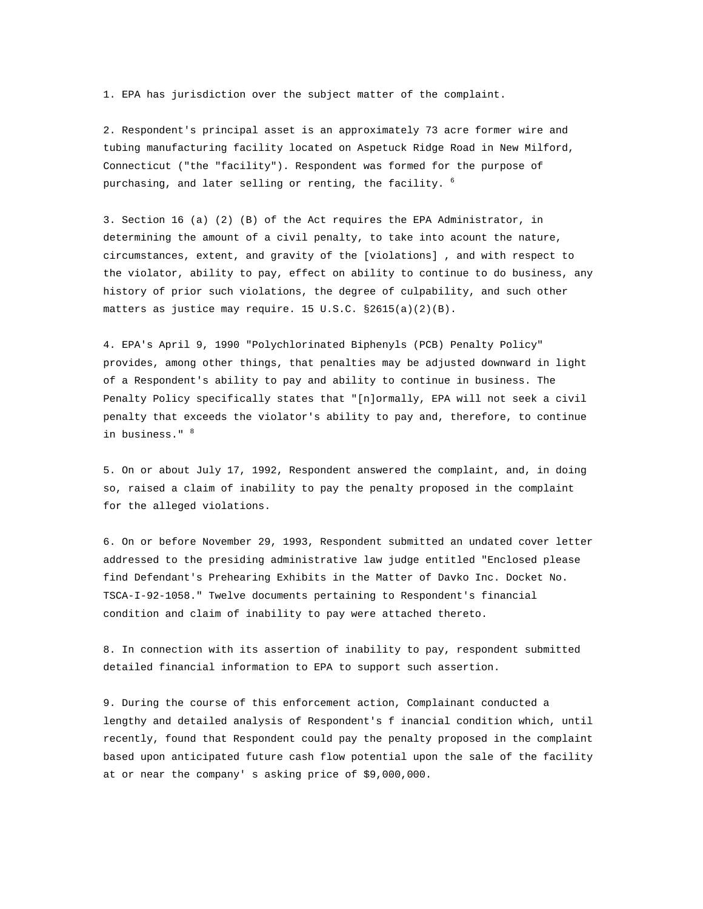1. EPA has jurisdiction over the subject matter of the complaint.

2. Respondent's principal asset is an approximately 73 acre former wire and tubing manufacturing facility located on Aspetuck Ridge Road in New Milford, Connecticut ("the "facility"). Respondent was formed for the purpose of purchasing, and later selling or renting, the facility.  $^6$ 

3. Section 16 (a) (2) (B) of the Act requires the EPA Administrator, in determining the amount of a civil penalty, to take into acount the nature, circumstances, extent, and gravity of the [violations] , and with respect to the violator, ability to pay, effect on ability to continue to do business, any history of prior such violations, the degree of culpability, and such other matters as justice may require. 15 U.S.C. §2615(a)(2)(B).

4. EPA's April 9, 1990 "Polychlorinated Biphenyls (PCB) Penalty Policy" provides, among other things, that penalties may be adjusted downward in light of a Respondent's ability to pay and ability to continue in business. The Penalty Policy specifically states that "[n]ormally, EPA will not seek a civil penalty that exceeds the violator's ability to pay and, therefore, to continue in business." <sup>8</sup>

5. On or about July 17, 1992, Respondent answered the complaint, and, in doing so, raised a claim of inability to pay the penalty proposed in the complaint for the alleged violations.

6. On or before November 29, 1993, Respondent submitted an undated cover letter addressed to the presiding administrative law judge entitled "Enclosed please find Defendant's Prehearing Exhibits in the Matter of Davko Inc. Docket No. TSCA-I-92-1058." Twelve documents pertaining to Respondent's financial condition and claim of inability to pay were attached thereto.

8. In connection with its assertion of inability to pay, respondent submitted detailed financial information to EPA to support such assertion.

9. During the course of this enforcement action, Complainant conducted a lengthy and detailed analysis of Respondent's f inancial condition which, until recently, found that Respondent could pay the penalty proposed in the complaint based upon anticipated future cash flow potential upon the sale of the facility at or near the company' s asking price of \$9,000,000.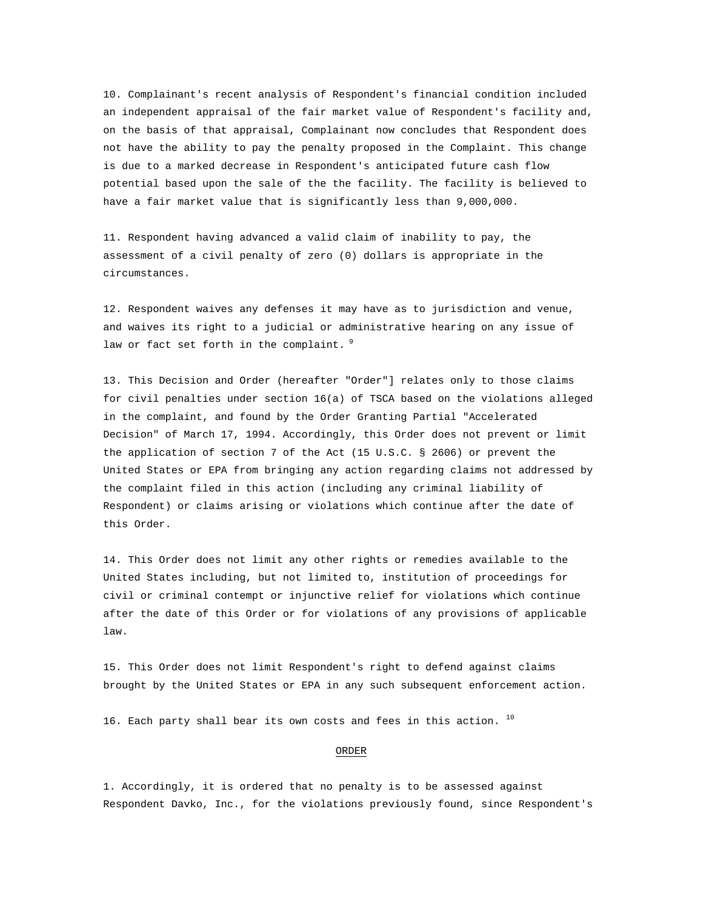10. Complainant's recent analysis of Respondent's financial condition included an independent appraisal of the fair market value of Respondent's facility and, on the basis of that appraisal, Complainant now concludes that Respondent does not have the ability to pay the penalty proposed in the Complaint. This change is due to a marked decrease in Respondent's anticipated future cash flow potential based upon the sale of the the facility. The facility is believed to have a fair market value that is significantly less than 9,000,000.

11. Respondent having advanced a valid claim of inability to pay, the assessment of a civil penalty of zero (0) dollars is appropriate in the circumstances.

12. Respondent waives any defenses it may have as to jurisdiction and venue, and waives its right to a judicial or administrative hearing on any issue of law or fact set forth in the complaint. 9

13. This Decision and Order (hereafter "Order"] relates only to those claims for civil penalties under section 16(a) of TSCA based on the violations alleged in the complaint, and found by the Order Granting Partial "Accelerated Decision" of March 17, 1994. Accordingly, this Order does not prevent or limit the application of section 7 of the Act (15 U.S.C. § 2606) or prevent the United States or EPA from bringing any action regarding claims not addressed by the complaint filed in this action (including any criminal liability of Respondent) or claims arising or violations which continue after the date of this Order.

14. This Order does not limit any other rights or remedies available to the United States including, but not limited to, institution of proceedings for civil or criminal contempt or injunctive relief for violations which continue after the date of this Order or for violations of any provisions of applicable law.

15. This Order does not limit Respondent's right to defend against claims brought by the United States or EPA in any such subsequent enforcement action.

16. Each party shall bear its own costs and fees in this action.  $^{10}$ 

### ORDER

1. Accordingly, it is ordered that no penalty is to be assessed against Respondent Davko, Inc., for the violations previously found, since Respondent's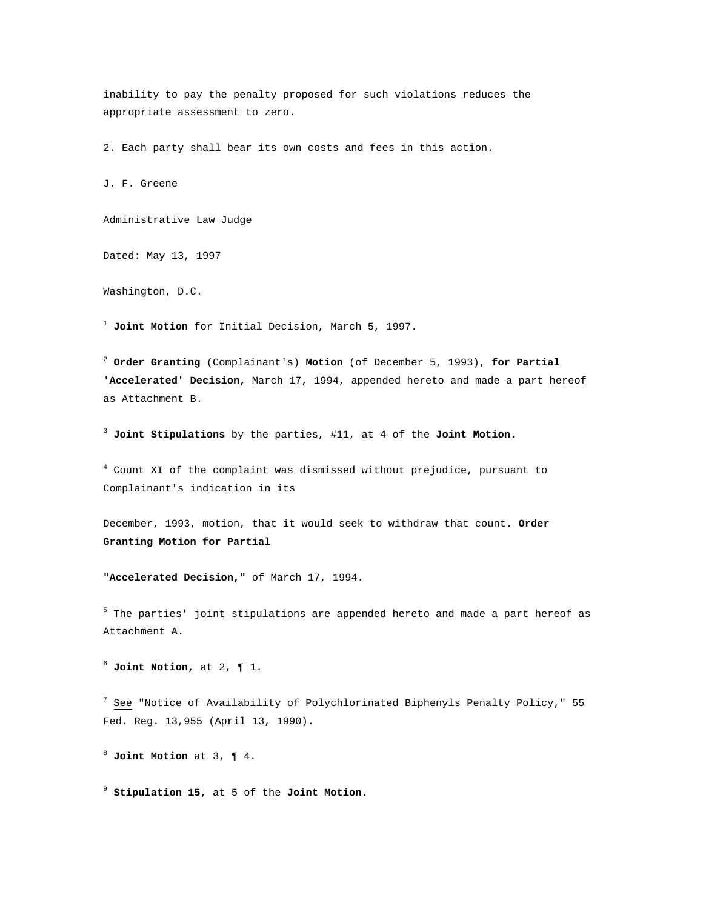inability to pay the penalty proposed for such violations reduces the appropriate assessment to zero.

2. Each party shall bear its own costs and fees in this action.

J. F. Greene

Administrative Law Judge

Dated: May 13, 1997

Washington, D.C.

<sup>1</sup> **Joint Motion** for Initial Decision, March 5, 1997.

<sup>2</sup> **Order Granting** (Complainant's) **Motion** (of December 5, 1993), **for Partial 'Accelerated' Decision,** March 17, 1994, appended hereto and made a part hereof as Attachment B.

<sup>3</sup> **Joint Stipulations** by the parties, #11, at 4 of the **Joint Motion.**

4 Count XI of the complaint was dismissed without prejudice, pursuant to Complainant's indication in its

December, 1993, motion, that it would seek to withdraw that count. **Order Granting Motion for Partial** 

**"Accelerated Decision,"** of March 17, 1994.

<sup>5</sup> The parties' joint stipulations are appended hereto and made a part hereof as Attachment A.

 $6$  **Joint Notion,** at 2,  $\parallel$  1.

 $^7$  See "Notice of Availability of Polychlorinated Biphenyls Penalty Policy," 55 Fed. Reg. 13,955 (April 13, 1990).

<sup>8</sup> **Joint Motion** at 3, ¶ 4.

<sup>9</sup> **Stipulation 15,** at 5 of the **Joint Motion.**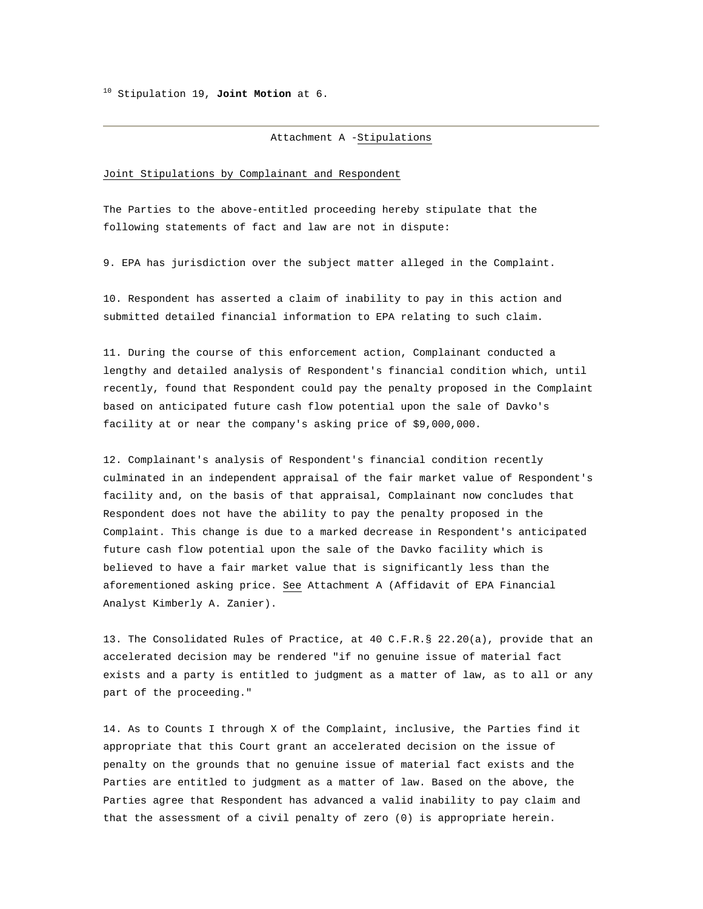10 Stipulation 19, **Joint Motion** at 6.

Attachment A -Stipulations

#### Joint Stipulations by Complainant and Respondent

The Parties to the above-entitled proceeding hereby stipulate that the following statements of fact and law are not in dispute:

9. EPA has jurisdiction over the subject matter alleged in the Complaint.

10. Respondent has asserted a claim of inability to pay in this action and submitted detailed financial information to EPA relating to such claim.

11. During the course of this enforcement action, Complainant conducted a lengthy and detailed analysis of Respondent's financial condition which, until recently, found that Respondent could pay the penalty proposed in the Complaint based on anticipated future cash flow potential upon the sale of Davko's facility at or near the company's asking price of \$9,000,000.

12. Complainant's analysis of Respondent's financial condition recently culminated in an independent appraisal of the fair market value of Respondent's facility and, on the basis of that appraisal, Complainant now concludes that Respondent does not have the ability to pay the penalty proposed in the Complaint. This change is due to a marked decrease in Respondent's anticipated future cash flow potential upon the sale of the Davko facility which is believed to have a fair market value that is significantly less than the aforementioned asking price. See Attachment A (Affidavit of EPA Financial Analyst Kimberly A. Zanier).

13. The Consolidated Rules of Practice, at 40 C.F.R.§ 22.20(a), provide that an accelerated decision may be rendered "if no genuine issue of material fact exists and a party is entitled to judgment as a matter of law, as to all or any part of the proceeding."

14. As to Counts I through X of the Complaint, inclusive, the Parties find it appropriate that this Court grant an accelerated decision on the issue of penalty on the grounds that no genuine issue of material fact exists and the Parties are entitled to judgment as a matter of law. Based on the above, the Parties agree that Respondent has advanced a valid inability to pay claim and that the assessment of a civil penalty of zero (0) is appropriate herein.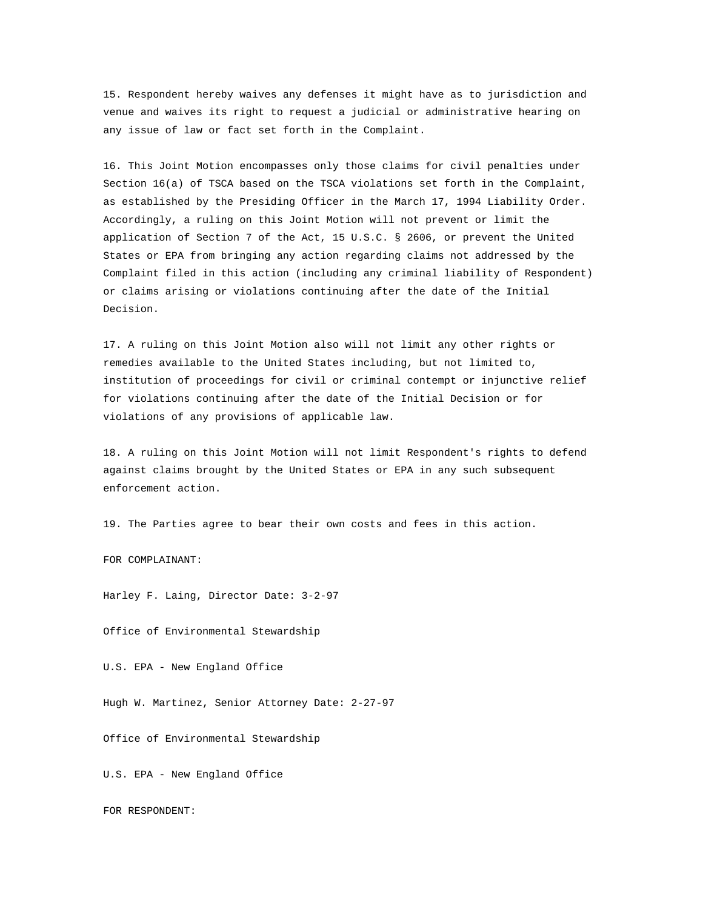15. Respondent hereby waives any defenses it might have as to jurisdiction and venue and waives its right to request a judicial or administrative hearing on any issue of law or fact set forth in the Complaint.

16. This Joint Motion encompasses only those claims for civil penalties under Section 16(a) of TSCA based on the TSCA violations set forth in the Complaint, as established by the Presiding Officer in the March 17, 1994 Liability Order. Accordingly, a ruling on this Joint Motion will not prevent or limit the application of Section 7 of the Act, 15 U.S.C. § 2606, or prevent the United States or EPA from bringing any action regarding claims not addressed by the Complaint filed in this action (including any criminal liability of Respondent) or claims arising or violations continuing after the date of the Initial Decision.

17. A ruling on this Joint Motion also will not limit any other rights or remedies available to the United States including, but not limited to, institution of proceedings for civil or criminal contempt or injunctive relief for violations continuing after the date of the Initial Decision or for violations of any provisions of applicable law.

18. A ruling on this Joint Motion will not limit Respondent's rights to defend against claims brought by the United States or EPA in any such subsequent enforcement action.

19. The Parties agree to bear their own costs and fees in this action.

FOR COMPLAINANT:

Harley F. Laing, Director Date: 3-2-97

Office of Environmental Stewardship

U.S. EPA - New England Office

Hugh W. Martinez, Senior Attorney Date: 2-27-97

Office of Environmental Stewardship

U.S. EPA - New England Office

FOR RESPONDENT: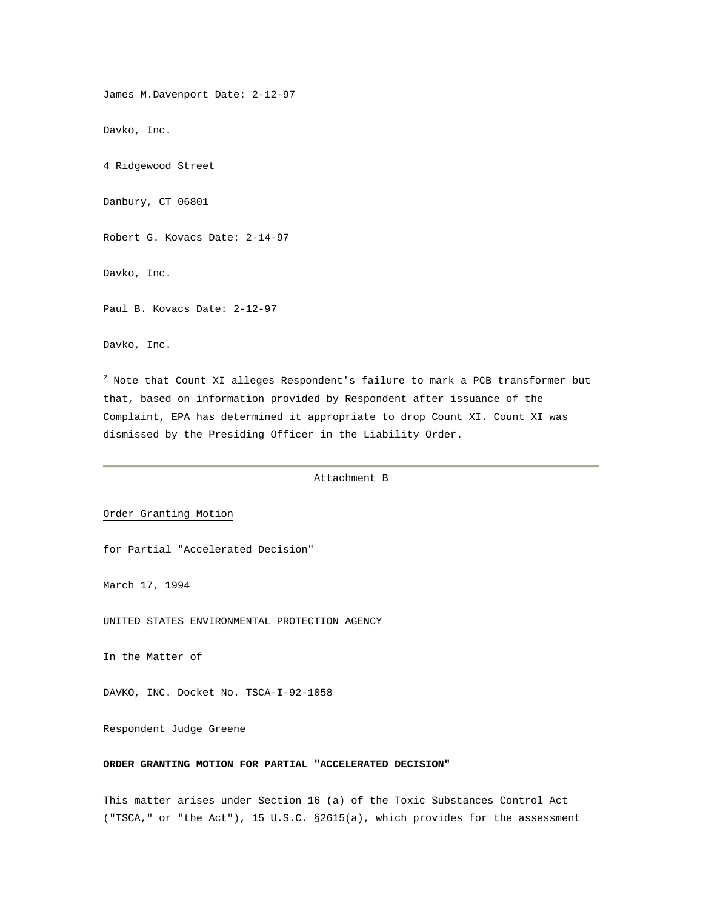James M.Davenport Date: 2-12-97

Davko, Inc.

4 Ridgewood Street

Danbury, CT 06801

Robert G. Kovacs Date: 2-14-97

Davko, Inc.

Paul B. Kovacs Date: 2-12-97

Davko, Inc.

 $^2$  Note that Count XI alleges Respondent's failure to mark a PCB transformer but that, based on information provided by Respondent after issuance of the Complaint, EPA has determined it appropriate to drop Count XI. Count XI was dismissed by the Presiding Officer in the Liability Order.

Attachment B

# Order Granting Motion

for Partial "Accelerated Decision"

March 17, 1994

UNITED STATES ENVIRONMENTAL PROTECTION AGENCY

In the Matter of

DAVKO, INC. Docket No. TSCA-I-92-1058

Respondent Judge Greene

### **ORDER GRANTING MOTION FOR PARTIAL "ACCELERATED DECISION"**

This matter arises under Section 16 (a) of the Toxic Substances Control Act ("TSCA," or "the Act"), 15 U.S.C. §2615(a), which provides for the assessment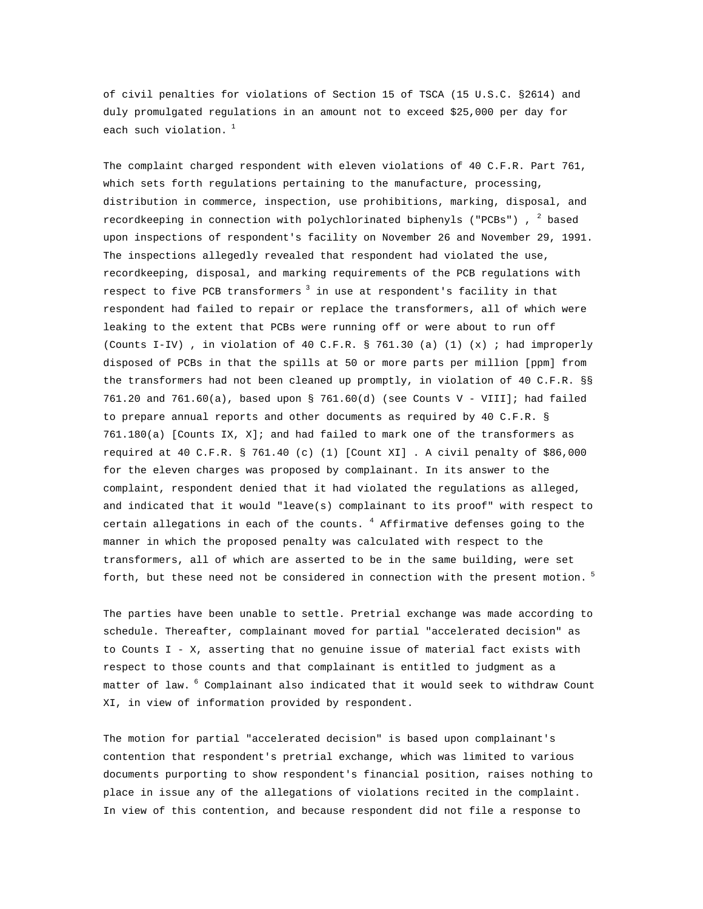of civil penalties for violations of Section 15 of TSCA (15 U.S.C. §2614) and duly promulgated regulations in an amount not to exceed \$25,000 per day for each such violation.<sup>1</sup>

The complaint charged respondent with eleven violations of 40 C.F.R. Part 761, which sets forth regulations pertaining to the manufacture, processing, distribution in commerce, inspection, use prohibitions, marking, disposal, and recordkeeping in connection with polychlorinated biphenyls ("PCBs") ,  $^2$  based upon inspections of respondent's facility on November 26 and November 29, 1991. The inspections allegedly revealed that respondent had violated the use, recordkeeping, disposal, and marking requirements of the PCB regulations with respect to five PCB transformers<sup>3</sup> in use at respondent's facility in that respondent had failed to repair or replace the transformers, all of which were leaking to the extent that PCBs were running off or were about to run off (Counts I-IV) , in violation of 40 C.F.R. § 761.30 (a) (1) (x) ; had improperly disposed of PCBs in that the spills at 50 or more parts per million [ppm] from the transformers had not been cleaned up promptly, in violation of 40 C.F.R. §§ 761.20 and 761.60(a), based upon § 761.60(d) (see Counts V - VIII]; had failed to prepare annual reports and other documents as required by 40 C.F.R. § 761.180(a) [Counts IX, X]; and had failed to mark one of the transformers as required at 40 C.F.R. § 761.40 (c) (1) [Count XI] . A civil penalty of \$86,000 for the eleven charges was proposed by complainant. In its answer to the complaint, respondent denied that it had violated the regulations as alleged, and indicated that it would "leave(s) complainant to its proof" with respect to certain allegations in each of the counts.  $^4$  Affirmative defenses going to the manner in which the proposed penalty was calculated with respect to the transformers, all of which are asserted to be in the same building, were set forth, but these need not be considered in connection with the present motion.<sup>5</sup>

The parties have been unable to settle. Pretrial exchange was made according to schedule. Thereafter, complainant moved for partial "accelerated decision" as to Counts I - X, asserting that no genuine issue of material fact exists with respect to those counts and that complainant is entitled to judgment as a matter of law. <sup>6</sup> Complainant also indicated that it would seek to withdraw Count XI, in view of information provided by respondent.

The motion for partial "accelerated decision" is based upon complainant's contention that respondent's pretrial exchange, which was limited to various documents purporting to show respondent's financial position, raises nothing to place in issue any of the allegations of violations recited in the complaint. In view of this contention, and because respondent did not file a response to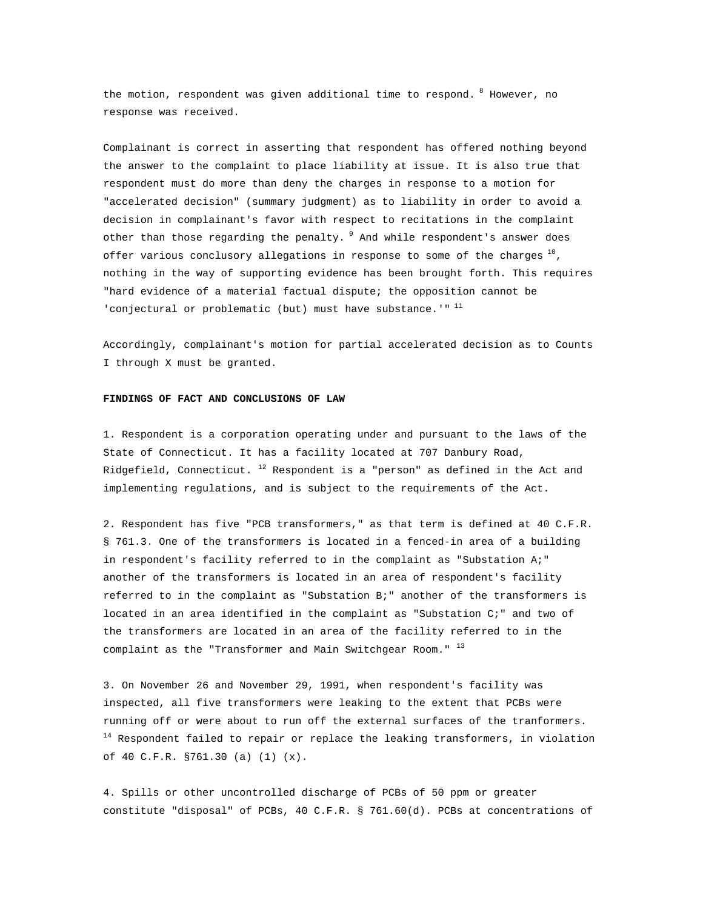the motion, respondent was given additional time to respond. <sup>8</sup> However, no response was received.

Complainant is correct in asserting that respondent has offered nothing beyond the answer to the complaint to place liability at issue. It is also true that respondent must do more than deny the charges in response to a motion for "accelerated decision" (summary judgment) as to liability in order to avoid a decision in complainant's favor with respect to recitations in the complaint other than those regarding the penalty. <sup>9</sup> And while respondent's answer does offer various conclusory allegations in response to some of the charges  $^{10}$ , nothing in the way of supporting evidence has been brought forth. This requires "hard evidence of a material factual dispute; the opposition cannot be 'conjectural or problematic (but) must have substance.'"  $^{11}$ 

Accordingly, complainant's motion for partial accelerated decision as to Counts I through X must be granted.

#### **FINDINGS OF FACT AND CONCLUSIONS OF LAW**

1. Respondent is a corporation operating under and pursuant to the laws of the State of Connecticut. It has a facility located at 707 Danbury Road, Ridgefield, Connecticut.  $^{12}$  Respondent is a "person" as defined in the Act and implementing regulations, and is subject to the requirements of the Act.

2. Respondent has five "PCB transformers," as that term is defined at 40 C.F.R. § 761.3. One of the transformers is located in a fenced-in area of a building in respondent's facility referred to in the complaint as "Substation A;" another of the transformers is located in an area of respondent's facility referred to in the complaint as "Substation B;" another of the transformers is located in an area identified in the complaint as "Substation C;" and two of the transformers are located in an area of the facility referred to in the complaint as the "Transformer and Main Switchgear Room."  $^{13}$ 

3. On November 26 and November 29, 1991, when respondent's facility was inspected, all five transformers were leaking to the extent that PCBs were running off or were about to run off the external surfaces of the tranformers.  $14$  Respondent failed to repair or replace the leaking transformers, in violation of 40 C.F.R. §761.30 (a) (1) (x).

4. Spills or other uncontrolled discharge of PCBs of 50 ppm or greater constitute "disposal" of PCBs, 40 C.F.R. § 761.60(d). PCBs at concentrations of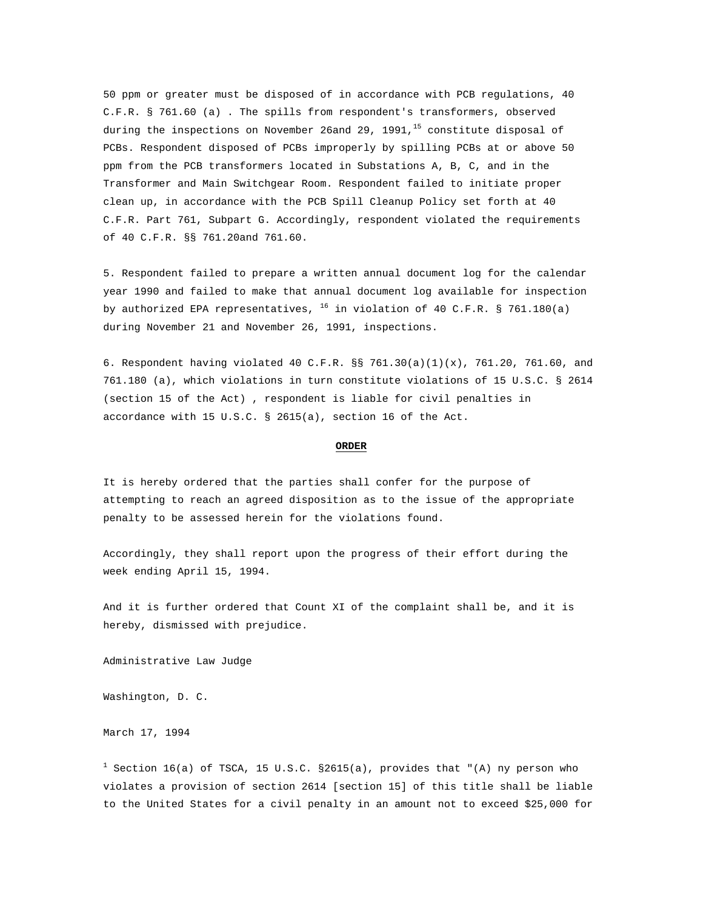50 ppm or greater must be disposed of in accordance with PCB regulations, 40 C.F.R. § 761.60 (a) . The spills from respondent's transformers, observed during the inspections on November 26and 29, 1991, $^{15}$  constitute disposal of PCBs. Respondent disposed of PCBs improperly by spilling PCBs at or above 50 ppm from the PCB transformers located in Substations A, B, C, and in the Transformer and Main Switchgear Room. Respondent failed to initiate proper clean up, in accordance with the PCB Spill Cleanup Policy set forth at 40 C.F.R. Part 761, Subpart G. Accordingly, respondent violated the requirements of 40 C.F.R. §§ 761.20and 761.60.

5. Respondent failed to prepare a written annual document log for the calendar year 1990 and failed to make that annual document log available for inspection by authorized EPA representatives,  $^{16}$  in violation of 40 C.F.R. § 761.180(a) during November 21 and November 26, 1991, inspections.

6. Respondent having violated 40 C.F.R. §§ 761.30(a)(1)(x), 761.20, 761.60, and 761.180 (a), which violations in turn constitute violations of 15 U.S.C. § 2614 (section 15 of the Act) , respondent is liable for civil penalties in accordance with 15 U.S.C. § 2615(a), section 16 of the Act.

## **ORDER**

It is hereby ordered that the parties shall confer for the purpose of attempting to reach an agreed disposition as to the issue of the appropriate penalty to be assessed herein for the violations found.

Accordingly, they shall report upon the progress of their effort during the week ending April 15, 1994.

And it is further ordered that Count XI of the complaint shall be, and it is hereby, dismissed with prejudice.

Administrative Law Judge

Washington, D. C.

March 17, 1994

 $^1$  Section 16(a) of TSCA, 15 U.S.C. §2615(a), provides that "(A) ny person who violates a provision of section 2614 [section 15] of this title shall be liable to the United States for a civil penalty in an amount not to exceed \$25,000 for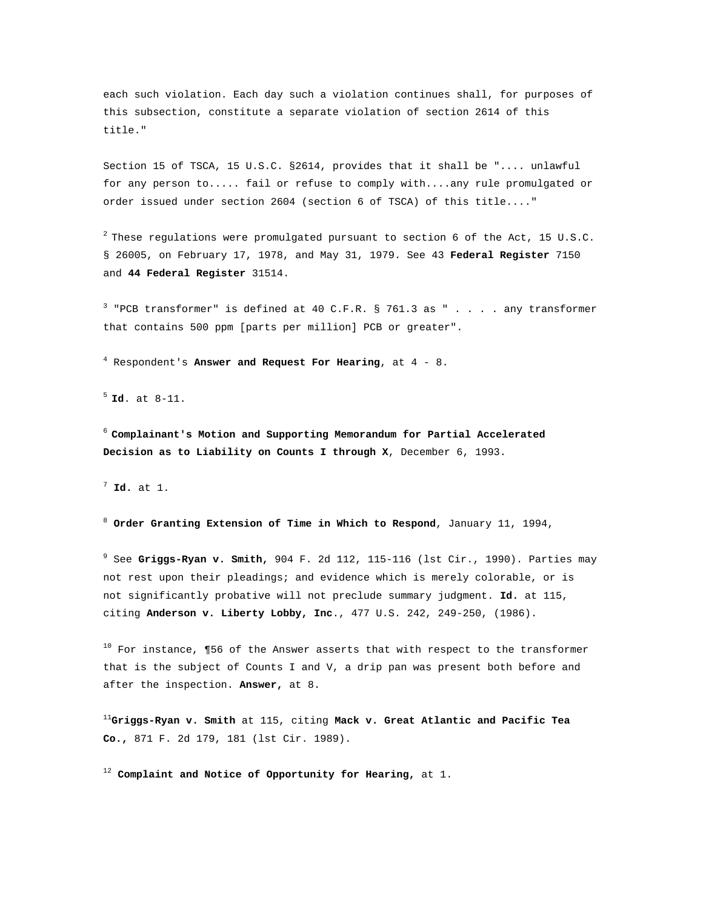each such violation. Each day such a violation continues shall, for purposes of this subsection, constitute a separate violation of section 2614 of this title."

Section 15 of TSCA, 15 U.S.C. §2614, provides that it shall be ".... unlawful for any person to..... fail or refuse to comply with....any rule promulgated or order issued under section 2604 (section 6 of TSCA) of this title...."

 $^2$  These regulations were promulgated pursuant to section 6 of the Act, 15 U.S.C. § 26005, on February 17, 1978, and May 31, 1979. See 43 **Federal Register** 7150 and **44 Federal Register** 31514.

 $3$  "PCB transformer" is defined at 40 C.F.R. § 761.3 as "  $\ldots$  . any transformer that contains 500 ppm [parts per million] PCB or greater".

4 Respondent's **Answer and Request For Hearing**, at 4 - 8.

<sup>5</sup>**Id**. at 8-11.

<sup>6</sup>**Complainant's Motion and Supporting Memorandum for Partial Accelerated Decision as to Liability on Counts I through X**, December 6, 1993.

<sup>7</sup> **Id.** at 1.

<sup>8</sup> **Order Granting Extension of Time in Which to Respond**, January 11, 1994,

9 See **Griggs-Ryan v. Smith,** 904 F. 2d 112, 115-116 (lst Cir., 1990). Parties may not rest upon their pleadings; and evidence which is merely colorable, or is not significantly probative will not preclude summary judgment. **Id.** at 115, citing **Anderson v. Liberty Lobby, Inc**., 477 U.S. 242, 249-250, (1986).

 $10$  For instance, ¶56 of the Answer asserts that with respect to the transformer that is the subject of Counts I and V, a drip pan was present both before and after the inspection. **Answer,** at 8.

<sup>11</sup>**Griggs-Ryan v. Smith** at 115, citing **Mack v. Great Atlantic and Pacific Tea Co.,** 871 F. 2d 179, 181 (lst Cir. 1989).

<sup>12</sup> **Complaint and Notice of Opportunity for Hearing,** at 1.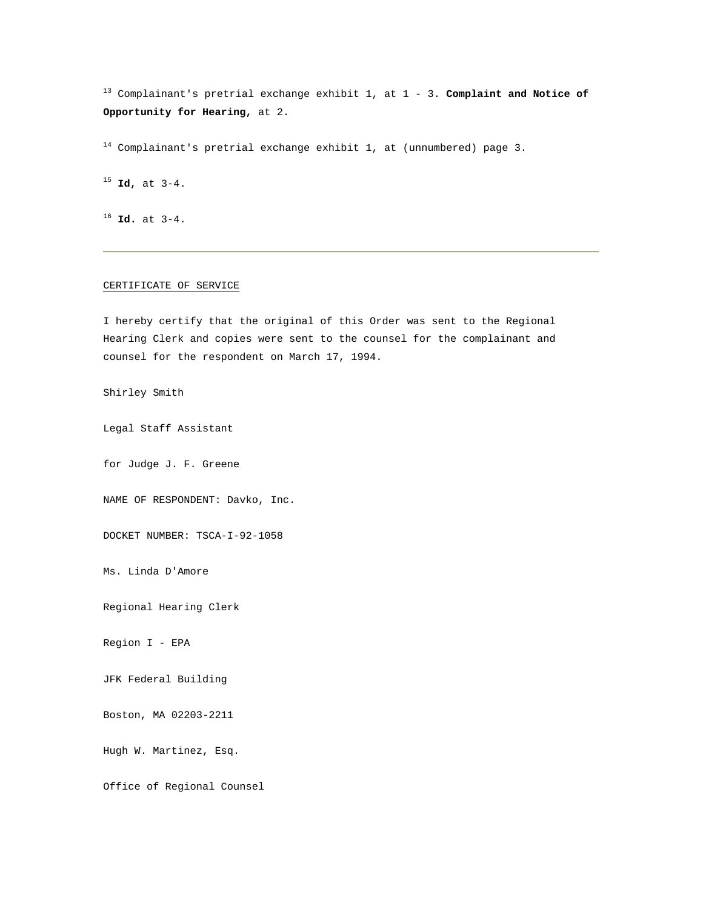13 Complainant's pretrial exchange exhibit 1, at 1 - 3. **Complaint and Notice of Opportunity for Hearing,** at 2.

 $14$  Complainant's pretrial exchange exhibit 1, at (unnumbered) page 3.

<sup>15</sup> **Id,** at 3-4.

<sup>16</sup> **Id.** at 3-4.

# CERTIFICATE OF SERVICE

I hereby certify that the original of this Order was sent to the Regional Hearing Clerk and copies were sent to the counsel for the complainant and counsel for the respondent on March 17, 1994.

Shirley Smith

Legal Staff Assistant

for Judge J. F. Greene

NAME OF RESPONDENT: Davko, Inc.

DOCKET NUMBER: TSCA-I-92-1058

Ms. Linda D'Amore

Regional Hearing Clerk

Region I - EPA

JFK Federal Building

Boston, MA 02203-2211

Hugh W. Martinez, Esq.

Office of Regional Counsel